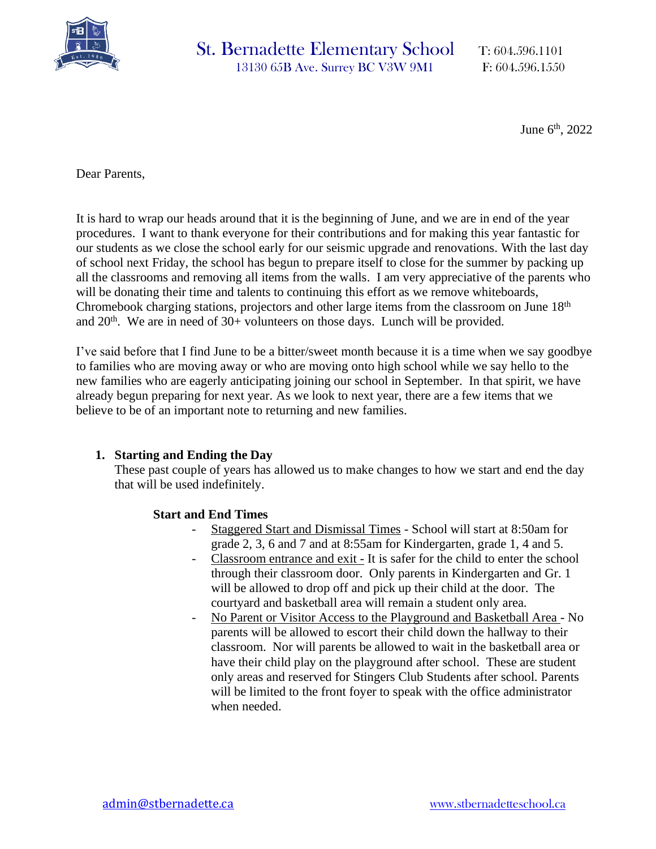

June 6<sup>th</sup>, 2022

Dear Parents,

It is hard to wrap our heads around that it is the beginning of June, and we are in end of the year procedures. I want to thank everyone for their contributions and for making this year fantastic for our students as we close the school early for our seismic upgrade and renovations. With the last day of school next Friday, the school has begun to prepare itself to close for the summer by packing up all the classrooms and removing all items from the walls. I am very appreciative of the parents who will be donating their time and talents to continuing this effort as we remove whiteboards, Chromebook charging stations, projectors and other large items from the classroom on June 18<sup>th</sup> and  $20<sup>th</sup>$ . We are in need of  $30+$  volunteers on those days. Lunch will be provided.

I've said before that I find June to be a bitter/sweet month because it is a time when we say goodbye to families who are moving away or who are moving onto high school while we say hello to the new families who are eagerly anticipating joining our school in September. In that spirit, we have already begun preparing for next year. As we look to next year, there are a few items that we believe to be of an important note to returning and new families.

# **1. Starting and Ending the Day**

These past couple of years has allowed us to make changes to how we start and end the day that will be used indefinitely.

# **Start and End Times**

- Staggered Start and Dismissal Times School will start at 8:50am for grade 2, 3, 6 and 7 and at 8:55am for Kindergarten, grade 1, 4 and 5.
- Classroom entrance and exit It is safer for the child to enter the school through their classroom door. Only parents in Kindergarten and Gr. 1 will be allowed to drop off and pick up their child at the door. The courtyard and basketball area will remain a student only area.
- No Parent or Visitor Access to the Playground and Basketball Area No parents will be allowed to escort their child down the hallway to their classroom. Nor will parents be allowed to wait in the basketball area or have their child play on the playground after school. These are student only areas and reserved for Stingers Club Students after school. Parents will be limited to the front foyer to speak with the office administrator when needed.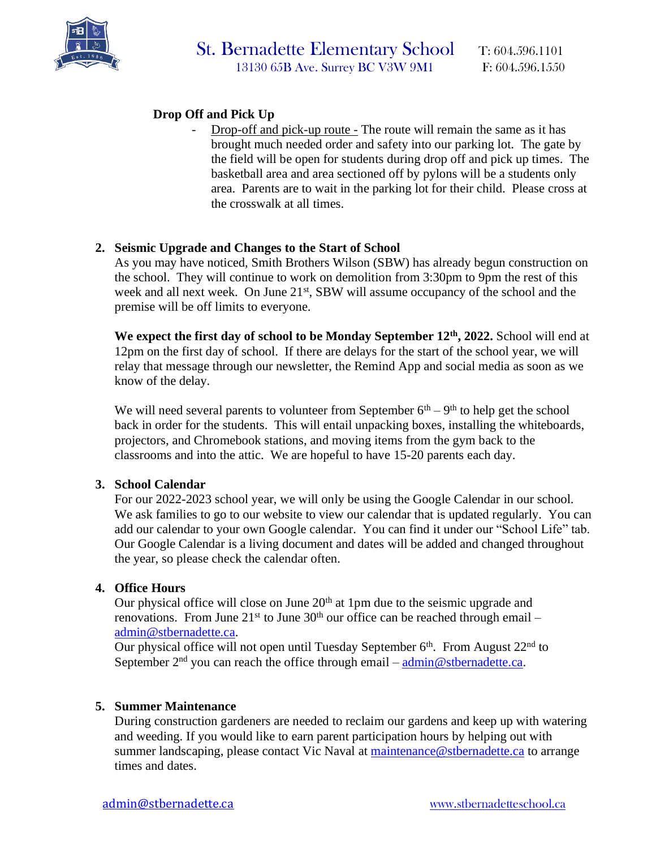

# **Drop Off and Pick Up**

Drop-off and pick-up route - The route will remain the same as it has brought much needed order and safety into our parking lot. The gate by the field will be open for students during drop off and pick up times. The basketball area and area sectioned off by pylons will be a students only area. Parents are to wait in the parking lot for their child. Please cross at the crosswalk at all times.

## **2. Seismic Upgrade and Changes to the Start of School**

As you may have noticed, Smith Brothers Wilson (SBW) has already begun construction on the school. They will continue to work on demolition from 3:30pm to 9pm the rest of this week and all next week. On June 21<sup>st</sup>, SBW will assume occupancy of the school and the premise will be off limits to everyone.

**We expect the first day of school to be Monday September 12th, 2022.** School will end at 12pm on the first day of school. If there are delays for the start of the school year, we will relay that message through our newsletter, the Remind App and social media as soon as we know of the delay.

We will need several parents to volunteer from September  $6<sup>th</sup> - 9<sup>th</sup>$  to help get the school back in order for the students. This will entail unpacking boxes, installing the whiteboards, projectors, and Chromebook stations, and moving items from the gym back to the classrooms and into the attic. We are hopeful to have 15-20 parents each day.

## **3. School Calendar**

For our 2022-2023 school year, we will only be using the Google Calendar in our school. We ask families to go to our website to view our calendar that is updated regularly. You can add our calendar to your own Google calendar. You can find it under our "School Life" tab. Our Google Calendar is a living document and dates will be added and changed throughout the year, so please check the calendar often.

#### **4. Office Hours**

Our physical office will close on June 20<sup>th</sup> at 1pm due to the seismic upgrade and renovations. From June  $21^{st}$  to June  $30^{th}$  our office can be reached through email – [admin@stbernadette.ca.](mailto:admin@stbernadette.ca)

Our physical office will not open until Tuesday September  $6<sup>th</sup>$ . From August  $22<sup>nd</sup>$  to September  $2<sup>nd</sup>$  you can reach the office through email – [admin@stbernadette.ca.](mailto:admin@stbernadette.ca)

#### **5. Summer Maintenance**

During construction gardeners are needed to reclaim our gardens and keep up with watering and weeding. If you would like to earn parent participation hours by helping out with summer landscaping, please contact Vic Naval at [maintenance@stbernadette.ca](mailto:maintenance@stbernadette.ca) to arrange times and dates.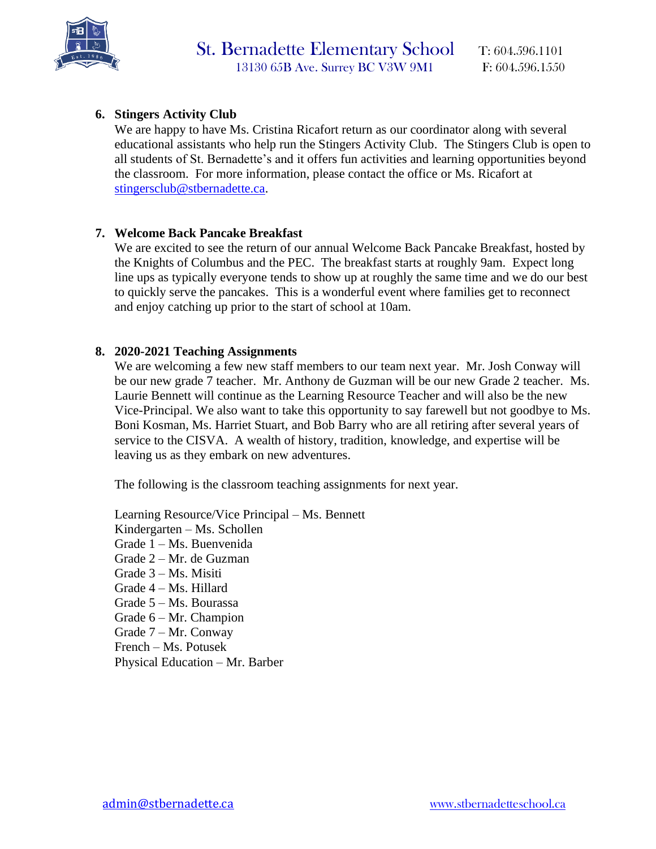

# **6. Stingers Activity Club**

We are happy to have Ms. Cristina Ricafort return as our coordinator along with several educational assistants who help run the Stingers Activity Club. The Stingers Club is open to all students of St. Bernadette's and it offers fun activities and learning opportunities beyond the classroom. For more information, please contact the office or Ms. Ricafort at [stingersclub@stbernadette.ca.](mailto:stingersclub@stbernadette.ca)

# **7. Welcome Back Pancake Breakfast**

We are excited to see the return of our annual Welcome Back Pancake Breakfast, hosted by the Knights of Columbus and the PEC. The breakfast starts at roughly 9am. Expect long line ups as typically everyone tends to show up at roughly the same time and we do our best to quickly serve the pancakes. This is a wonderful event where families get to reconnect and enjoy catching up prior to the start of school at 10am.

## **8. 2020-2021 Teaching Assignments**

We are welcoming a few new staff members to our team next year. Mr. Josh Conway will be our new grade 7 teacher. Mr. Anthony de Guzman will be our new Grade 2 teacher. Ms. Laurie Bennett will continue as the Learning Resource Teacher and will also be the new Vice-Principal. We also want to take this opportunity to say farewell but not goodbye to Ms. Boni Kosman, Ms. Harriet Stuart, and Bob Barry who are all retiring after several years of service to the CISVA. A wealth of history, tradition, knowledge, and expertise will be leaving us as they embark on new adventures.

The following is the classroom teaching assignments for next year.

Learning Resource/Vice Principal – Ms. Bennett Kindergarten – Ms. Schollen Grade 1 – Ms. Buenvenida Grade 2 – Mr. de Guzman Grade 3 – Ms. Misiti Grade 4 – Ms. Hillard Grade 5 – Ms. Bourassa Grade 6 – Mr. Champion Grade 7 – Mr. Conway French – Ms. Potusek Physical Education – Mr. Barber